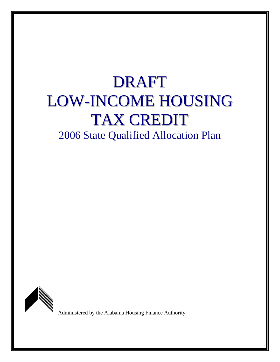# DRAFT LOW-INCOME HOUSING TAX CREDIT

2006 State Qualified Allocation Plan



Administered by the Alabama Housing Finance Authority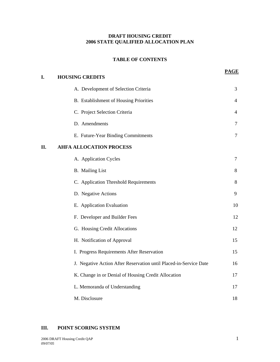## **DRAFT HOUSING CREDIT 2006 STATE QUALIFIED ALLOCATION PLAN**

#### **TABLE OF CONTENTS**

**PAGE**

| I.  | <b>HOUSING CREDITS</b>                                            |                |
|-----|-------------------------------------------------------------------|----------------|
|     | A. Development of Selection Criteria                              | 3              |
|     | B. Establishment of Housing Priorities                            | 4              |
|     | C. Project Selection Criteria                                     | 4              |
|     | D. Amendments                                                     | $\overline{7}$ |
|     | E. Future-Year Binding Commitments                                | $\tau$         |
| II. | <b>AHFA ALLOCATION PROCESS</b>                                    |                |
|     | A. Application Cycles                                             | $\tau$         |
|     | <b>B.</b> Mailing List                                            | 8              |
|     | C. Application Threshold Requirements                             | 8              |
|     | D. Negative Actions                                               | 9              |
|     | E. Application Evaluation                                         | 10             |
|     | F. Developer and Builder Fees                                     | 12             |
|     | G. Housing Credit Allocations                                     | 12             |
|     | H. Notification of Approval                                       | 15             |
|     | I. Progress Requirements After Reservation                        | 15             |
|     | J. Negative Action After Reservation until Placed-in-Service Date | 16             |
|     | K. Change in or Denial of Housing Credit Allocation               | 17             |
|     | L. Memoranda of Understanding                                     | 17             |
|     | M. Disclosure                                                     | 18             |

### **III. POINT SCORING SYSTEM**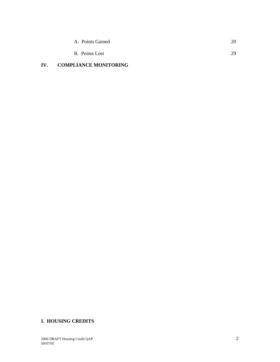| A. Points Gained | 20 |
|------------------|----|
| B. Points Lost   | 29 |

# **IV. COMPLIANCE MONITORING**

# **I. HOUSING CREDITS**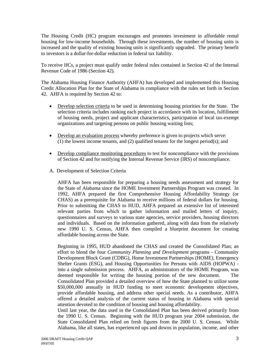The Housing Credit (HC) program encourages and promotes investment in affordable rental housing for low-income households. Through these investments, the number of housing units is increased and the quality of existing housing units is significantly upgraded. The primary benefit to investors is a dollar-for-dollar reduction in federal tax liability.

To receive HCs, a project must qualify under federal rules contained in Section 42 of the Internal Revenue Code of 1986 (Section 42).

The Alabama Housing Finance Authority (AHFA) has developed and implemented this Housing Credit Allocation Plan for the State of Alabama in compliance with the rules set forth in Section 42. AHFA is required by Section 42 to:

- Develop selection criteria to be used in determining housing priorities for the State. The selection criteria includes ranking each project in accordance with its location, fulfillment of housing needs, project and applicant characteristics, participation of local tax-exempt organizations and targeting persons on public housing waiting lists;
- Develop an evaluation process whereby preference is given to projects which serve: (1) the lowest income tenants, and (2) qualified tenants for the longest period(s); and
- Develop compliance monitoring procedures to test for noncompliance with the provisions of Section 42 and for notifying the Internal Revenue Service (IRS) of noncompliance.
- A. Development of Selection Criteria

AHFA has been responsible for preparing a housing needs assessment and strategy for the State of Alabama since the HOME Investment Partnerships Program was created. In 1992, AHFA prepared the first Comprehensive Housing Affordability Strategy (or CHAS) as a prerequisite for Alabama to receive millions of federal dollars for housing. Prior to submitting the CHAS to HUD, AHFA prepared an extensive list of interested relevant parties from which to gather information and mailed letters of inquiry, questionnaires and surveys to various state agencies, service providers, housing directors and individuals. Based on the information gathered, along with data from the relatively new 1990 U. S. Census, AHFA then compiled a blueprint document for creating affordable housing across the State.

Beginning in 1995, HUD abandoned the CHAS and created the Consolidated Plan; an effort to blend the four *Community Planning and Development* programs - Community Development Block Grant (CDBG), Home Investment Partnerships (HOME), Emergency Shelter Grants (ESG), and Housing Opportunities for Persons with AIDS (HOPWA) into a single submission process. AHFA, as administrators of the HOME Program, was deemed responsible for writing the housing portion of the new document. The Consolidated Plan provided a detailed overview of how the State planned to utilize some \$50,000,000 annually in HUD funding to meet economic development objectives, provide affordable housing, and address other special needs. As a contributor, AHFA offered a detailed analysis of the current status of housing in Alabama with special attention devoted to the condition of housing and housing affordability.

Until last year, the data used in the Consolidated Plan has been derived primarily from the 1990 U. S. Census. Beginning with the HUD program year 2004 submission, the State Consolidated Plan relied on fresh figures from the 2000 U. S. Census. While Alabama, like all states, has experienced ups and downs in population, income, and other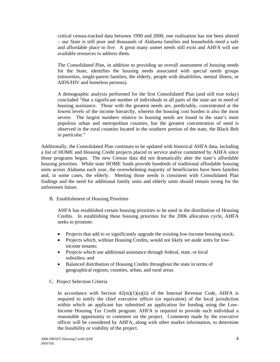critical census-tracked data between 1990 and 2000, one realization has not been altered – our State is still poor and thousands of Alabama families and households need a safe and affordable place to live. A great many unmet needs still exist and AHFA will use available resources to address them.

The Consolidated Plan, in addition to providing an overall assessment of housing needs for the State, identifies the housing needs associated with special needs groups (minorities, single-parent families, the elderly, people with disabilities, mental illness, or AIDS/HIV and homeless persons).

A demographic analysis performed for the first Consolidated Plan (and still true today) concluded "that a significant number of individuals in all parts of the state are in need of housing assistance. Those with the greatest needs are, predictably, concentrated at the lowest levels of the income hierarchy, wherein the housing cost burden is also the most severe. The largest numbers relative to housing needs are found in the state's most populous urban and metropolitan counties, but the greatest concentration of need is observed in the rural counties located in the southern portion of the state, the Black Belt in particular."

Additionally, the Consolidated Plan continues to be updated with historical AHFA data, including a list of HOME and Housing Credit projects placed in service and/or committed by AHFA since those programs began. The new Census data did not dramatically alter the state's affordable housing priorities. While state HOME funds provide hundreds of traditional affordable housing units across Alabama each year, the overwhelming majority of beneficiaries have been families and, in some cases, the elderly. Meeting those needs is consistent with Consolidated Plan findings and the need for additional family units and elderly units should remain strong for the unforeseen future.

B. Establishment of Housing Priorities

AHFA has established certain housing priorities to be used in the distribution of Housing Credits. In establishing these housing priorities for the 2006 allocation cycle, AHFA seeks to promote:

- Projects that add to or significantly upgrade the existing low-income housing stock;
- Projects which, without Housing Credits, would not likely set aside units for lowincome tenants;
- Projects which use additional assistance through federal, state, or local subsidies; and
- Balanced distribution of Housing Credits throughout the state in terms of geographical regions, counties, urban, and rural areas.
- C. Project Selection Criteria

In accordance with Section  $42(m)(1)(a)(ii)$  of the Internal Revenue Code, AHFA is required to notify the chief executive officer (or equivalent) of the local jurisdiction within which an applicant has submitted an application for funding using the Low-Income Housing Tax Credit program. AHFA is required to provide such individual a reasonable opportunity to comment on the project. Comments made by the executive officer will be considered by AHFA, along with other market information, to determine the feasibility or viability of the project.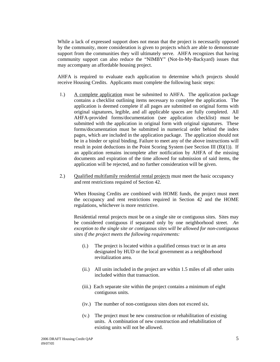While a lack of expressed support does not mean that the project is necessarily opposed by the community, more consideration is given to projects which are able to demonstrate support from the communities they will ultimately serve. AHFA recognizes that having community support can also reduce the "NIMBY" (Not-In-My-Backyard) issues that may accompany an affordable housing project.

AHFA is required to evaluate each application to determine which projects should receive Housing Credits. Applicants must complete the following basic steps:

- 1.) A complete application must be submitted to AHFA. The application package contains a checklist outlining items necessary to complete the application. The application is deemed complete if all pages are submitted on original forms with original signatures, legible, and all applicable spaces are fully completed. All AHFA-provided forms/documentation (see application checklist) must be submitted with the application in original form with original signatures. These forms/documentation must be submitted in numerical order behind the index pages, which are included in the application package. The application should not be in a binder or spiral binding. Failure to meet any of the above instructions will result in point deductions in the Point Scoring System (see Section III (B)(1)). If an application remains incomplete after notification by AHFA of the missing documents and expiration of the time allowed for submission of said items, the application will be rejected, and no further consideration will be given.
- 2.) Qualified multifamily residential rental projects must meet the basic occupancy and rent restrictions required of Section 42.

When Housing Credits are combined with HOME funds, the project must meet the occupancy and rent restrictions required in Section 42 and the HOME regulations, whichever is more restrictive.

Residential rental projects must be on a single site or contiguous sites. Sites may be considered contiguous if separated only by one neighborhood street. *An exception to the single site or contiguous sites will be allowed for non-contiguous sites if the project meets the following requirements:*

- (i.) The project is located within a qualified census tract or in an area designated by HUD or the local government as a neighborhood revitalization area.
- (ii.) All units included in the project are within 1.5 miles of all other units included within that transaction.
- (iii.) Each separate site within the project contains a minimum of eight contiguous units.
- (iv.) The number of non-contiguous sites does not exceed six.
- (v.) The project must be new construction or rehabilitation of existing units. A combination of new construction and rehabilitation of existing units will not be allowed.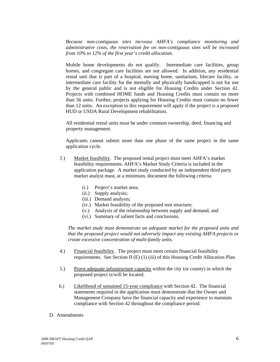*Because non-contiguous sites increase AHFA's compliance monitoring and administrative costs, the reservation fee on non-contiguous sites will be increased from 10% to 12% of the first year's credit allocation.* 

Mobile home developments do not qualify. Intermediate care facilities, group homes, and congregate care facilities are not allowed. In addition, any residential rental unit that is part of a hospital, nursing home, sanitarium, lifecare facility, or intermediate care facility for the mentally and physically handicapped is not for use by the general public and is not eligible for Housing Credits under Section 42. Projects with combined HOME funds and Housing Credits must contain no more than 56 units. Further, projects applying for Housing Credits must contain no fewer than 12 units. An exception to this requirement will apply if the project is a proposed HUD or USDA Rural Development rehabilitation.

 All residential rental units must be under common ownership, deed, financing and property management.

Applicants cannot submit more than one phase of the same project in the same application cycle.

- 3.) Market feasibility. The proposed rental project must meet AHFA's market feasibility requirements. AHFA's Market Study Criteria is included in the application package. A market study conducted by an independent third party market analyst must, at a minimum, document the following criteria.
	- (i.) Project's market area;
	- (ii.) Supply analysis;
	- (iii.) Demand analysis;
	- (iv.) Market feasibility of the proposed rent structure;
	- (v.) Analysis of the relationship between supply and demand; and
	- (vi.) Summary of salient facts and conclusions.

*The market study must demonstrate an adequate market for the proposed units and that the proposed project would not adversely impact any existing AHFA projects or create excessive concentration of multi-family units.* 

- 4.) Financial feasibility. The project must meet certain financial feasibility requirements. See Section II (E) (1) (iii) of this Housing Credit Allocation Plan.
- 5.) Prove adequate infrastructure capacity within the city (or county) in which the proposed project is/will be located.
- 6.) Likelihood of sustained 15-year compliance with Section 42. The financial statements required in the application must demonstrate that the Owner and Management Company have the financial capacity and experience to maintain compliance with Section 42 throughout the compliance period.
- D. Amendments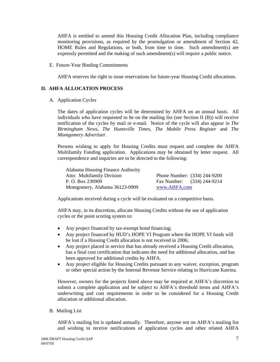AHFA is entitled to amend this Housing Credit Allocation Plan, including compliance monitoring provisions, as required by the promulgation or amendment of Section 42, HOME Rules and Regulations, or both, from time to time. Such amendment(s) are expressly permitted and the making of such amendment(s) will require a public notice.

E. Future-Year Binding Commitments

AHFA reserves the right to issue reservations for future-year Housing Credit allocations.

#### **II. AHFA ALLOCATION PROCESS**

A. Application Cycles

The dates of application cycles will be determined by AHFA on an annual basis. All individuals who have requested to be on the mailing list (see Section II (B)) will receive notification of the cycles by mail or e-mail. Notice of the cycle will also appear in *The Birmingham News*, *The Huntsville Times*, *The Mobile Press Register* and *The Montgomery Advertiser*.

Persons wishing to apply for Housing Credits must request and complete the AHFA Multifamily Funding application. Applications may be obtained by letter request. All correspondence and inquiries are to be directed to the following:

Alabama Housing Finance Authority Attn: Multifamily Division Phone Number: (334) 244-9200 P. O. Box 230909 Fax Number: (334) 244-9214 Montgomery, Alabama 36123-0909 www.AHFA.com

Applications received during a cycle will be evaluated on a competitive basis.

 AHFA may, in its discretion, allocate Housing Credits without the use of application cycles or the point scoring system to:

- Any project financed by tax-exempt bond financing;
- Any project financed by HUD's HOPE VI Program where the HOPE VI funds will be lost if a Housing Credit allocation is not received in 2006;
- Any project placed in service that has already received a Housing Credit allocation, has a final cost certification that indicates the need for additional allocation, and has been approved for additional credits by AHFA.
- Any project eligible for Housing Credits pursuant to any waiver, exception, program or other special action by the Internal Revenue Service relating to Hurricane Katrina.

However, owners for the projects listed above may be required at AHFA's discretion to submit a complete application and be subject to AHFA's threshold items and AHFA's underwriting and cost requirements in order to be considered for a Housing Credit allocation or additional allocation.

B. Mailing List

AHFA's mailing list is updated annually. Therefore, anyone not on AHFA's mailing list and wishing to receive notifications of application cycles and other related AHFA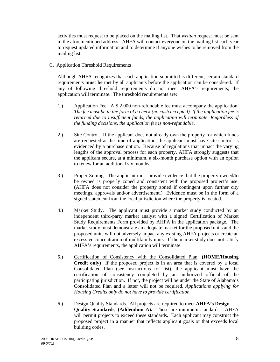activities must request to be placed on the mailing list. That *written* request must be sent to the aforementioned address. AHFA will contact everyone on the mailing list each year to request updated information and to determine if anyone wishes to be removed from the mailing list.

C. Application Threshold Requirements

Although AHFA recognizes that each application submitted is different, certain standard requirements **must be** met by all applicants before the application can be considered. If any of following threshold requirements do not meet AHFA's requirements, the application will terminate. The threshold requirements are:

- 1.) Application Fee. A \$ 2,000 non-refundable fee must accompany the application. *The fee must be in the form of a check (no cash accepted). If the application fee is returned due to insufficient funds, the application will terminate. Regardless of the funding decisions, the application fee is non-refundable.*
- 2.) Site Control. If the applicant does not already own the property for which funds are requested at the time of application, the applicant must have site control as evidenced by a purchase option. Because of regulations that impact the varying lengths of the approval process for each property, AHFA strongly suggests that the applicant secure, at a minimum, a six-month purchase option with an option to renew for an additional six months.
- 3.) Proper Zoning. The applicant must provide evidence that the property owned/to be owned is properly zoned and consistent with the proposed project's use. (AHFA does not consider the property zoned if contingent upon further city meetings, approvals and/or advertisement.) Evidence must be in the form of a signed statement from the local jurisdiction where the property is located.
- 4.) Market Study. The applicant must provide a market study conducted by an independent third-party market analyst with a signed Certification of Market Study Requirements Form provided by AHFA in the application package. The market study must demonstrate an adequate market for the proposed units and the proposed units will not adversely impact any existing AHFA projects or create an excessive concentration of multifamily units. If the market study does not satisfy AHFA's requirements, the application will terminate.
- 5.) Certification of Consistency with the Consolidated Plan. **(HOME/Housing Credit only)** If the proposed project is in an area that is covered by a local Consolidated Plan (see instructions for list), the applicant must have the certification of consistency completed by an authorized official of the participating jurisdiction. If not, the project will be under the State of Alabama's Consolidated Plan and a letter will not be required. *Applications applying for Housing Credits only do not have to provide certification.*
- 6.) Design Quality Standards. All projects are required to meet **AHFA's Design Quality Standards, (Addendum A).** These are minimum standards. AHFA will permit projects to exceed these standards. Each applicant may construct the proposed project in a manner that reflects applicant goals or that exceeds local building codes.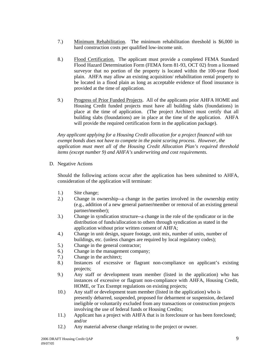- 7.) Minimum Rehabilitation. The minimum rehabilitation threshold is \$6,000 in hard construction costs per qualified low-income unit.
- 8.) Flood Certification. The applicant must provide a completed FEMA Standard Flood Hazard Determination Form (FEMA form 81-93, OCT 02) from a licensed surveyor that no portion of the property is located within the 100-year flood plain. AHFA may allow an existing acquisition/ rehabilitation rental property to be located in a flood plain as long as acceptable evidence of flood insurance is provided at the time of application.
- 9.) Progress of Prior Funded Projects. All of the applicants prior AHFA HOME and Housing Credit funded projects must have all building slabs (foundations) in place at the time of application. (The project Architect must certify that all building slabs (foundations) are in place at the time of the application. AHFA will provide the required certification form in the application package).

 *Any applicant applying for a Housing Credit allocation for a project financed with tax exempt bonds does not have to compete in the point scoring process. However, the application must meet all of the Housing Credit Allocation Plan's required threshold items (except number 9) and AHFA's underwriting and cost requirements.* 

D. Negative Actions

Should the following actions occur after the application has been submitted to AHFA, consideration of the application will terminate:

- 1.) Site change;
- 2.) Change in ownership--a change in the parties involved in the ownership entity (e.g., addition of a new general partner**/**member or removal of an existing general partner**/**member);
- 3.) Change in syndication structure--a change in the role of the syndicator or in the distribution of funds/allocation to others through syndication as stated in the application without prior written consent of AHFA;
- 4.) Change in unit design, square footage, unit mix, number of units, number of buildings, etc. (unless changes are required by local regulatory codes);
- 5.) Change in the general contractor;
- 6.) Change in the management company;
- 7.) Change in the architect;
- 8.) Instances of excessive or flagrant non-compliance on applicant's existing projects;
- 9.) Any staff or development team member (listed in the application) who has instances of excessive or flagrant non-compliance with AHFA, Housing Credit, HOME, or Tax Exempt regulations on existing projects;
- 10.) Any staff or development team member (listed in the application) who is presently debarred, suspended, proposed for debarment or suspension, declared ineligible or voluntarily excluded from any transactions or construction projects involving the use of federal funds or Housing Credits;
- 11.) Applicant has a project with AHFA that is in foreclosure or has been foreclosed; and/or
- 12.) Any material adverse change relating to the project or owner.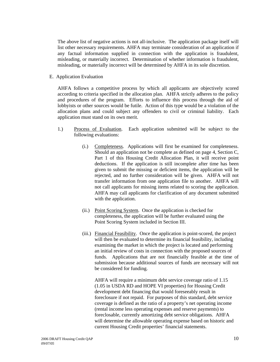The above list of negative actions is not all-inclusive. The application package itself will list other necessary requirements. AHFA may terminate consideration of an application if any factual information supplied in connection with the application is fraudulent, misleading, or materially incorrect. Determination of whether information is fraudulent, misleading, or materially incorrect will be determined by AHFA in its sole discretion.

E. Application Evaluation

AHFA follows a competitive process by which all applicants are objectively scored according to criteria specified in the allocation plan. AHFA strictly adheres to the policy and procedures of the program. Efforts to influence this process through the aid of lobbyists or other sources would be futile. Action of this type would be a violation of the allocation plans and could subject any offenders to civil or criminal liability. Each application must stand on its own merit.

- 1.) Process of Evaluation. Each application submitted will be subject to the following evaluations:
	- (i.) Completeness. Applications will first be examined for completeness. Should an application not be complete as defined on page 4, Section C, Part 1 of this Housing Credit Allocation Plan, it will receive point deductions. If the application is still incomplete after time has been given to submit the missing or deficient items, the application will be rejected, and no further consideration will be given. AHFA will not transfer information from one application file to another. AHFA will not call applicants for missing items related to scoring the application. AHFA may call applicants for clarification of any document submitted with the application.
	- (ii.) Point Scoring System. Once the application is checked for completeness, the application will be further evaluated using the Point Scoring System included in Section III.
	- (iii.) Financial Feasibility. Once the application is point-scored, the project will then be evaluated to determine its financial feasibility, including examining the market in which the project is located and performing an initial review of costs in connection with the proposed sources of funds. Applications that are not financially feasible at the time of submission because additional sources of funds are necessary will not be considered for funding.

 AHFA will require a minimum debt service coverage ratio of 1.15 (1.05 in USDA RD and HOPE VI properties) for Housing Credit development debt financing that would foreseeably result in foreclosure if not repaid. For purposes of this standard, debt service coverage is defined as the ratio of a property's net operating income (rental income less operating expenses and reserve payments) to foreclosable, currently amortizing debt service obligations. AHFA will determine the allowable operating expense based on historic and current Housing Credit properties' financial statements.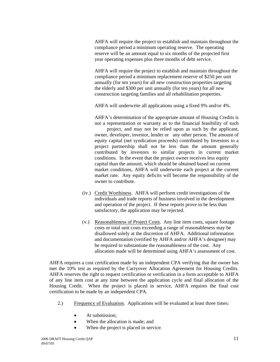AHFA will require the project to establish and maintain throughout the compliance period a minimum operating reserve. The operating reserve will be an amount equal to six months of the projected first year operating expenses plus three months of debt service.

 AHFA will require the project to establish and maintain throughout the compliance period a minimum replacement reserve of \$250 per unit annually (for ten years) for all new construction properties targeting the elderly and \$300 per unit annually (for ten years) for all new construction targeting families and all rehabilitation properties.

AHFA will underwrite all applications using a fixed 9% and/or 4%.

AHFA's determination of the appropriate amount of Housing Credits is not a representation or warranty as to the financial feasibility of such

 project, and may not be relied upon as such by the applicant, owner, developer, investor, lender or any other person. The amount of equity capital (net syndication proceeds) contributed by Investors to a project partnership shall not be less than the amount generally contributed by investors to similar projects in current market conditions. In the event that the project owner receives less equity capital than the amount, which should be obtained based on current market conditions, AHFA will underwrite each project at the current market rate. Any equity deficits will become the responsibility of the owner to contribute.

- (iv.) Credit Worthiness. AHFA will perform credit investigations of the individuals and trade reports of business involved in the development and operation of the project. If these reports prove to be less than satisfactory, the application may be rejected.
- (v.) Reasonableness of Project Costs. Any line item costs, square footage costs or total unit costs exceeding a range of reasonableness may be disallowed solely at the discretion of AHFA. Additional information and documentation (verified by AHFA and/or AHFA's designee) may be required to substantiate the reasonableness of the cost. Any allocation made will be determined using AHFA's assessment of cost.

AHFA requires a cost certification made by an independent CPA verifying that the owner has met the 10% test as required by the Carryover Allocation Agreement for Housing Credits. AHFA reserves the right to request certification or verification in a form acceptable to AHFA of any line item cost at any time between the application cycle and final allocation of the Housing Credit. When the project is placed in service, AHFA requires the final cost certification to be made by an independent CPA.

- 2.) Frequency of Evaluation. Applications will be evaluated at least three times:
	- At submission:
	- When the allocation is made; and
	- When the project is placed in service.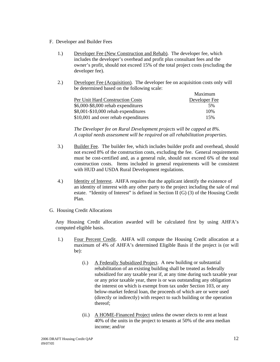- F. Developer and Builder Fees
	- 1.) Developer Fee (New Construction and Rehab). The developer fee, which includes the developer's overhead and profit plus consultant fees and the owner's profit, should not exceed 15% of the total project costs (excluding the developer fee).
	- 2.) Developer Fee (Acquisition). The developer fee on acquisition costs only will be determined based on the following scale:

|                                      | Maximum       |
|--------------------------------------|---------------|
| Per Unit Hard Construction Costs     | Developer Fee |
| \$6,000-\$8,000 rehab expenditures   | .5%           |
| $$8,001-\$10,000$ rehab expenditures | 10%           |
| \$10,001 and over rehab expenditures | 15%           |

 *The Developer fee on Rural Development projects will be capped at 8%. A capital needs assessment will be required on all rehabilitation properties.* 

- 3.) Builder Fee. The builder fee, which includes builder profit and overhead, should not exceed 8% of the construction costs, excluding the fee. General requirements must be cost-certified and, as a general rule, should not exceed 6% of the total construction costs. Items included in general requirements will be consistent with HUD and USDA Rural Development regulations.
- 4.) Identity of Interest. AHFA requires that the applicant identify the existence of an identity of interest with any other party to the project including the sale of real estate. "Identity of Interest" is defined in Section II (G) (3) of the Housing Credit Plan.
- G. Housing Credit Allocations

Any Housing Credit allocation awarded will be calculated first by using AHFA's computed eligible basis.

- 1.) Four Percent Credit. AHFA will compute the Housing Credit allocation at a maximum of 4% of AHFA's determined Eligible Basis if the project is (or will be):
	- (i.) A Federally Subsidized Project. A new building or substantial rehabilitation of an existing building shall be treated as federally subsidized for any taxable year if, at any time during such taxable year or any prior taxable year, there is or was outstanding any obligation the interest on which is exempt from tax under Section 103, or any below-market federal loan, the proceeds of which are or were used (directly or indirectly) with respect to such building or the operation thereof;
	- (ii.) A HOME-Financed Project unless the owner elects to rent at least 40% of the units in the project to tenants at 50% of the area median income; and/or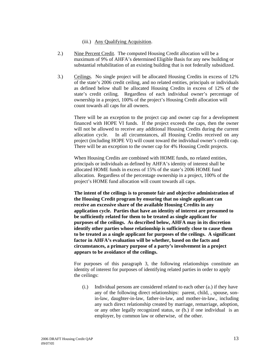#### (iii.) Any Qualifying Acquisition.

- 2.) Nine Percent Credit. The computed Housing Credit allocation will be a maximum of 9% of AHFA's determined Eligible Basis for any new building or substantial rehabilitation of an existing building that is not federally subsidized.
- 3.) Ceilings. No single project will be allocated Housing Credits in excess of 12% of the state's 2006 credit ceiling, and no related entities, principals or individuals as defined below shall be allocated Housing Credits in excess of 12% of the state's credit ceiling. Regardless of each individual owner's percentage of ownership in a project, 100% of the project's Housing Credit allocation will count towards all caps for all owners.

There will be an exception to the project cap and owner cap for a development financed with HOPE VI funds. If the project exceeds the caps, then the owner will not be allowed to receive any additional Housing Credits during the current allocation cycle. In all circumstances, all Housing Credits received on any project (including HOPE VI) will count toward the individual owner's credit cap. There will be an exception to the owner cap for 4% Housing Credit projects.

 When Housing Credits are combined with HOME funds, no related entities, principals or individuals as defined by AHFA's identity of interest shall be allocated HOME funds in excess of 15% of the state's 2006 HOME fund allocation. Regardless of the percentage ownership in a project, 100% of the project's HOME fund allocation will count towards all caps.

 **The intent of the ceilings is to promote fair and objective administration of the Housing Credit program by ensuring that no single applicant can receive an excessive share of the available Housing Credits in any application cycle. Parties that have an identity of interest are presumed to be sufficiently related for them to be treated as single applicant for purposes of the ceilings. As described below, AHFA may in its discretion identify other parties whose relationship is sufficiently close to cause them to be treated as a single applicant for purposes of the ceilings. A significant factor in AHFA's evaluation will be whether, based on the facts and circumstances, a primary purpose of a party's involvement in a project appears to be avoidance of the ceilings.** 

For purposes of this paragraph 3, the following relationships constitute an identity of interest for purposes of identifying related parties in order to apply the ceilings:

(i.) Individual persons are considered related to each other (a.) if they have any of the following direct relationships: parent, child, , spouse, sonin-law, daughter-in-law, father-in-law, and mother-in-law., including any such direct relationship created by marriage, remarriage, adoption, or any other legally recognized status, or (b.) if one individual is an employer, by common law or otherwise, of the other.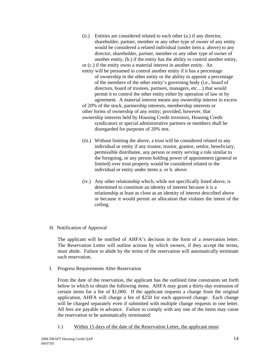- (ii.) Entities are considered related to each other (a.) if any director, shareholder, partner, member or any other type of owner of any entity would be considered a related individual (under item a. above) to any director, shareholder, partner, member or any other type of owner of another entity, (b.) if the entity has the ability to control another entity, or (c.) if the entity owns a material interest in another entity. An entity will be presumed to control another entity if it has a percentage of ownership in the other entity or the ability to appoint a percentage of the members of the other entity's governing body (i.e., board of directors, board of trustees, partners, managers, etc…) that would permit it to control the other entity either by operation of law or by agreement. A material interest means any ownership interest in excess of 20% of the stock, partnership interests, membership interests or other forms of ownership of any entity; provided, however, that ownership interests held by Housing Credit investors, Housing Credit syndicators or special administrative partners or members shall be disregarded for purposes of 20% test.
- (iii.) Without limiting the above, a trust will be considered related to any individual or entity if any trustee, trustor, grantor, settlor, beneficiary, permissible distributee, any person or entity serving a role similar to the foregoing, or any person holding power of appointment (general or limited) over trust property would be considered related to the individual or entity under items a. or b. above.
- (iv.) Any other relationship which, while not specifically listed above, is determined to constitute an identity of interest because it is a relationship at least as close as an identity of interest described above or because it would permit an allocation that violates the intent of the ceiling.
- H. Notification of Approval

The applicant will be notified of AHFA's decision in the form of a reservation letter. The Reservation Letter will outline actions by which owners, if they accept the terms, must abide. Failure to abide by the terms of the reservation will automatically terminate such reservation.

I. Progress Requirements After Reservation

From the date of the reservation, the applicant has the outlined time constraints set forth below in which to obtain the following items. AHFA may grant a thirty-day extension of certain items for a fee of \$1,000. If the applicant requests a change from the original application, AHFA will charge a fee of \$250 for each approved change. Each change will be charged separately even if submitted with multiple change requests in one letter. All fees are payable in advance. Failure to comply with any one of the items may cause the reservation to be automatically terminated:

1.) Within 15 days of the date of the Reservation Letter, the applicant must: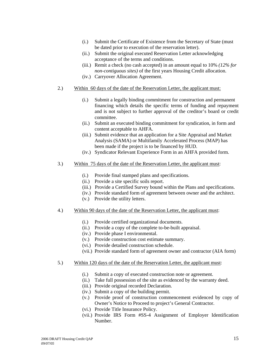- (i.) Submit the Certificate of Existence from the Secretary of State (must be dated prior to execution of the reservation letter).
- (ii.) Submit the original executed Reservation Letter acknowledging acceptance of the terms and conditions.
- (iii.) Remit a check (no cash accepted) in an amount equal to 10% *(12% for non-contiguous sites)* of the first years Housing Credit allocation.
- (iv.) Carryover Allocation Agreement.
- 2.) Within 60 days of the date of the Reservation Letter, the applicant must:
	- (i.) Submit a legally binding commitment for construction and permanent financing which details the specific terms of funding and repayment and is not subject to further approval of the creditor's board or credit committee.
	- (ii.) Submit an executed binding commitment for syndication, in form and content acceptable to AHFA.
	- (iii.) Submit evidence that an application for a Site Appraisal and Market Analysis (SAMA) or Multifamily Accelerated Process (MAP) has been made if the project is to be financed by HUD.
	- (iv.) Syndicator Relevant Experience Form in an AHFA provided form.
- 3.) Within 75 days of the date of the Reservation Letter, the applicant must:
	- (i.) Provide final stamped plans and specifications.
	- (ii.) Provide a site specific soils report.
	- (iii.) Provide a Certified Survey bound within the Plans and specifications.
	- (iv.) Provide standard form of agreement between owner and the architect.
		- (v.) Provide the utility letters.
- 4.) Within 90 days of the date of the Reservation Letter, the applicant must:
	- (i.) Provide certified organizational documents.
	- (ii.) Provide a copy of the complete to-be-built appraisal.
	- (iv.) Provide phase I environmental.
	- (v.) Provide construction cost estimate summary.
	- (vi.) Provide detailed construction schedule.
	- (vii.) Provide standard form of agreement owner and contractor (AIA form)
- 5.) Within 120 days of the date of the Reservation Letter, the applicant must:
	- (i.) Submit a copy of executed construction note or agreement.
	- (ii.) Take full possession of the site as evidenced by the warranty deed.
	- (iii.) Provide original recorded Declaration.
	- (iv.) Submit a copy of the building permit.
	- (v.) Provide proof of construction commencement evidenced by copy of Owner's Notice to Proceed to project's General Contractor.
	- (vi.) Provide Title Insurance Policy.
	- (vii.) Provide IRS Form #SS-4 Assignment of Employer Identification Number.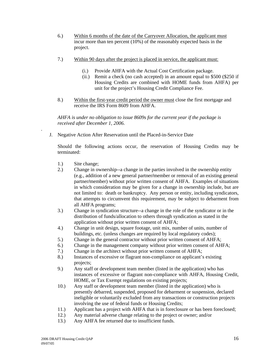- 6.) Within 6 months of the date of the Carryover Allocation, the applicant must incur more than ten percent (10%) of the reasonably expected basis in the project.
- 7.) Within 90 days after the project is placed in service, the applicant must:
	- (i.) Provide AHFA with the Actual Cost Certification package.
	- (ii.) Remit a check (no cash accepted) in an amount equal to \$500 (\$250 if Housing Credits are combined with HOME funds from AHFA) per unit for the project's Housing Credit Compliance Fee.
- 8.) Within the first-year credit period the owner must close the first mortgage and receive the IRS Form 8609 from AHFA.

 *AHFA is under no obligation to issue 8609s for the current year if the package is received after December 1, 2006.* 

J. Negative Action After Reservation until the Placed-in-Service Date

Should the following actions occur, the reservation of Housing Credits may be terminated:

1.) Site change;

*.* 

- 2.) Change in ownership--a change in the parties involved in the ownership entity (e.g., addition of a new general partner**/**member or removal of an existing general partner**/**member) without prior written consent of AHFA. Examples of situations in which consideration may be given for a change in ownership include, but are not limited to: death or bankruptcy. Any person or entity, including syndicators, that attempts to circumvent this requirement, may be subject to debarment from all AHFA programs;
- 3.) Change in syndication structure--a change in the role of the syndicator or in the distribution of funds/allocation to others through syndication as stated in the application without prior written consent of AHFA;
- 4.) Change in unit design, square footage, unit mix, number of units, number of buildings, etc. (unless changes are required by local regulatory codes);
- 5.) Change in the general contractor without prior written consent of AHFA;
- 6.) Change in the management company without prior written consent of AHFA;
- 7.) Change in the architect without prior written consent of AHFA;
- 8.) Instances of excessive or flagrant non-compliance on applicant's existing projects;
- 9.) Any staff or development team member (listed in the application) who has instances of excessive or flagrant non-compliance with AHFA, Housing Credit, HOME, or Tax Exempt regulations on existing projects;
- 10.) Any staff or development team member (listed in the application) who is presently debarred, suspended, proposed for debarment or suspension, declared ineligible or voluntarily excluded from any transactions or construction projects involving the use of federal funds or Housing Credits;
- 11.) Applicant has a project with AHFA that is in foreclosure or has been foreclosed;
- 12.) Any material adverse change relating to the project or owner; and/or
- 13.) Any AHFA fee returned due to insufficient funds.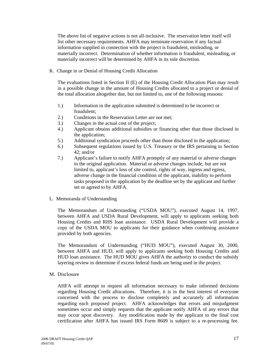The above list of negative actions is not all-inclusive. The reservation letter itself will list other necessary requirements. AHFA may terminate reservation if any factual information supplied in connection with the project is fraudulent, misleading, or materially incorrect. Determination of whether information is fraudulent, misleading, or materially incorrect will be determined by AHFA in its sole discretion.

K. Change in or Denial of Housing Credit Allocation

The evaluations listed in Section II (E) of the Housing Credit Allocation Plan may result in a possible change in the amount of Housing Credits allocated to a project or denial of the total allocation altogether due, but not limited to, one of the following reasons:

- 1.) Information in the application submitted is determined to be incorrect or fraudulent;
- 2.) Conditions in the Reservation Letter are not met;
- 3.) Changes in the actual cost of the project;
- 4.) Applicant obtains additional subsidies or financing other than those disclosed in the application;
- 5.) Additional syndication proceeds other than those disclosed in the application;
- 6.) Subsequent regulations issued by U.S. Treasury or the IRS pertaining to Section 42; and/or
- 7.) Applicant's failure to notify AHFA promptly of any material or adverse changes in the original application. Material or adverse changes include, but are not limited to, applicant's loss of site control, rights of way, ingress and egress, adverse change in the financial condition of the applicant, inability to perform tasks proposed in the application by the deadline set by the applicant and further set or agreed to by AHFA.
- L. Memoranda of Understanding

The Memorandum of Understanding ("USDA MOU"), executed August 14, 1997, between AHFA and USDA Rural Development, will apply to applicants seeking both Housing Credits and RHS loan assistance. USDA Rural Development will provide a copy of the USDA MOU to applicants for their guidance when combining assistance provided by both agencies.

The Memorandum of Understanding ("HUD MOU"), executed August 30, 2000, between AHFA and HUD, will apply to applicants seeking both Housing Credits and HUD loan assistance. The HUD MOU gives AHFA the authority to conduct the subsidy layering review to determine if excess federal funds are being used in the project.

M. Disclosure

AHFA will attempt to request all information necessary to make informed decisions regarding Housing Credit allocations. Therefore, it is in the best interest of everyone concerned with the process to disclose completely and accurately all information regarding each proposed project. AHFA acknowledges that errors and misjudgment sometimes occur and simply requests that the applicant notify AHFA of any errors that may occur upon discovery. Any modification made by the applicant to the final cost certification after AHFA has issued IRS Form 8609 is subject to a re-processing fee.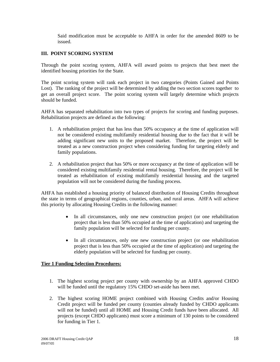Said modification must be acceptable to AHFA in order for the amended 8609 to be issued.

#### **III. POINT SCORING SYSTEM**

Through the point scoring system, AHFA will award points to projects that best meet the identified housing priorities for the State.

The point scoring system will rank each project in two categories (Points Gained and Points Lost). The ranking of the project will be determined by adding the two section scores together to get an overall project score. The point scoring system will largely determine which projects should be funded.

AHFA has separated rehabilitation into two types of projects for scoring and funding purposes. Rehabilitation projects are defined as the following:

- 1. A rehabilitation project that has less than 50% occupancy at the time of application will not be considered existing multifamily residential housing due to the fact that it will be adding significant new units to the proposed market. Therefore, the project will be treated as a new construction project when considering funding for targeting elderly and family populations.
- 2. A rehabilitation project that has 50% or more occupancy at the time of application will be considered existing multifamily residential rental housing. Therefore, the project will be treated as rehabilitation of existing multifamily residential housing and the targeted population will not be considered during the funding process.

AHFA has established a housing priority of balanced distribution of Housing Credits throughout the state in terms of geographical regions, counties, urban, and rural areas. AHFA will achieve this priority by allocating Housing Credits in the following manner:

- In all circumstances, only one new construction project (or one rehabilitation project that is less than 50% occupied at the time of application) and targeting the family population will be selected for funding per county.
- In all circumstances, only one new construction project (or one rehabilitation project that is less than 50% occupied at the time of application) and targeting the elderly population will be selected for funding per county.

#### **Tier 1 Funding Selection Procedures:**

- 1. The highest scoring project per county with ownership by an AHFA approved CHDO will be funded until the regulatory 15% CHDO set-aside has been met.
- 2. The highest scoring HOME project combined with Housing Credits and/or Housing Credit project will be funded per county (counties already funded by CHDO applicants will not be funded) until all HOME and Housing Credit funds have been allocated. All projects (except CHDO applicants) must score a minimum of 130 points to be considered for funding in Tier 1.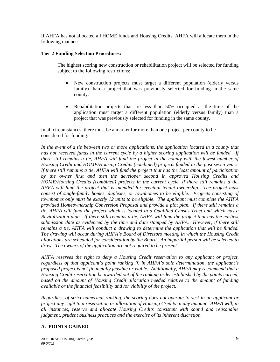If AHFA has not allocated all HOME funds and Housing Credits, AHFA will allocate them in the following manner:

#### **Tier 2 Funding Selection Procedures:**

 The highest scoring new construction or rehabilitation project will be selected for funding subject to the following restrictions:

- New construction projects must target a different population (elderly versus family) than a project that was previously selected for funding in the same county.
- Rehabilitation projects that are less than 50% occupied at the time of the application must target a different population (elderly versus family) than a project that was previously selected for funding in the same county.

In all circumstances, there must be a market for more than one project per county to be considered for funding.

In the event of a tie between two or more applications, the application located in a county that *has not received funds in the current cycle by a higher scoring application will be funded. If there still remains a tie, AHFA will fund the project in the county with the fewest number of Housing Credit and HOME/Housing Credits (combined) projects funded in the past seven years. If there still remains a tie, AHFA will fund the project that has the least amount of participation by the owner first and then the developer second in approved Housing Credits and HOME/Housing Credits (combined) projects in the current cycle. If there still remains a tie, AHFA will fund the project that is intended for eventual tenant ownership. The project must consist of single-family homes, duplexes, or townhomes to be eligible. Projects consisting of townhomes only must be exactly 12 units to be eligible. The applicant must complete the AHFA provided Homeownership Conversion Proposal and provide a plot plan. If there still remains a tie, AHFA will fund the project which is located in a Qualified Census Tract and which has a Revitalization plan. If there still remains a tie, AHFA will fund the project that has the earliest submission date as evidenced by the time and date stamped by AHFA. However, if there still remains a tie, AHFA will conduct a drawing to determine the application that will be funded. The drawing will occur during AHFA's Board of Directors meeting in which the Housing Credit allocations are scheduled for consideration by the Board. An impartial person will be selected to draw. The owners of the application are not required to be present.* 

*AHFA reserves the right to deny a Housing Credit reservation to any applicant or project, regardless of that applicant's point ranking if, in AHFA's sole determination, the applicant's proposed project is not financially feasible or viable. Additionally, AHFA may recommend that a Housing Credit reservation be awarded out of the ranking order established by the points earned,*  based on the amount of Housing Credit allocation needed relative to the amount of funding *available or the financial feasibility and /or viability of the project.* 

*Regardless of strict numerical ranking, the scoring does not operate to vest in an applicant or project any right to a reservation or allocation of Housing Credits in any amount. AHFA will, in all instances, reserve and allocate Housing Credits consistent with sound and reasonable judgment, prudent business practices and the exercise of its inherent discretion.* 

#### **A. POINTS GAINED**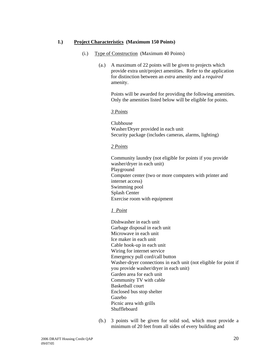#### **1.) Project Characteristics (Maximum 150 Points)**

- (i.) Type of Construction (Maximum 40 Points)
	- (a.) A maximum of 22 points will be given to projects which provide extra unit/project amenities. Refer to the application for distinction between an *extra* amenity and a *required*  amenity.

Points will be awarded for providing the following amenities. Only the amenities listed below will be eligible for points.

#### *3 Points*

 Clubhouse Washer/Dryer provided in each unit Security package (includes cameras, alarms, lighting)

#### *2 Points*

Community laundry (not eligible for points if you provide washer/dryer in each unit) Playground Computer center (two or more computers with printer and internet access) Swimming pool Splash Center Exercise room with equipment

#### *1 Point*

 Dishwasher in each unit Garbage disposal in each unit Microwave in each unit Ice maker in each unit Cable hook-up in each unit Wiring for internet service Emergency pull cord/call button Washer-dryer connections in each unit (not eligible for point if you provide washer/dryer in each unit) Garden area for each unit Community TV with cable Basketball court Enclosed bus stop shelter Gazebo Picnic area with grills Shuffleboard

 (b.) 3 points will be given for solid sod, which must provide a minimum of 20 feet from all sides of every building and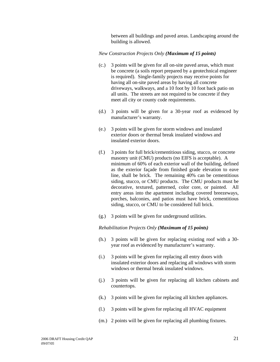between all buildings and paved areas. Landscaping around the building is allowed.

#### *New Construction Projects Only (Maximum of 15 points)*

- (c.) 3 points will be given for all on-site paved areas, which must be concrete (a soils report prepared by a geotechnical engineer is required). Single-family projects may receive points for having all on-site paved areas by having all concrete driveways, walkways, and a 10 foot by 10 foot back patio on all units. The streets are not required to be concrete if they meet all city or county code requirements.
- (d.) 3 points will be given for a 30-year roof as evidenced by manufacturer's warranty.
- (e.) 3 points will be given for storm windows and insulated exterior doors or thermal break insulated windows and insulated exterior doors.
- (f.) 3 points for full brick/cementitious siding, stucco, or concrete masonry unit (CMU) products (no EIFS is acceptable). A minimum of 60% of each exterior wall of the building, defined as the exterior façade from finished grade elevation to eave line, shall be brick. The remaining 40% can be cementitious siding, stucco, or CMU products. The CMU products must be decorative, textured, patterned, color core, or painted. All entry areas into the apartment including covered breezeways, porches, balconies, and patios must have brick, cementitious siding, stucco, or CMU to be considered full brick.
- (g.) 3 points will be given for underground utilities.

#### *Rehabilitation Projects Only (Maximum of 15 points)*

- (h.) 3 points will be given for replacing existing roof with a 30 year roof as evidenced by manufacturer's warranty.
- (i.) 3 points will be given for replacing all entry doors with insulated exterior doors and replacing all windows with storm windows or thermal break insulated windows.
- (j.) 3 points will be given for replacing all kitchen cabinets and countertops.
- (k.) 3 points will be given for replacing all kitchen appliances.
- (l.) 3 points will be given for replacing all HVAC equipment
- (m.) 2 points will be given for replacing all plumbing fixtures.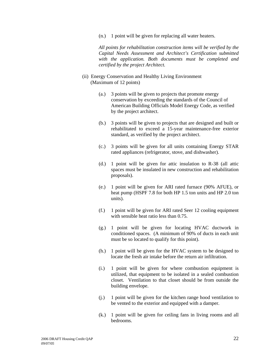(n.) 1 point will be given for replacing all water heaters.

 *All points for rehabilitation construction items will be verified by the Capital Needs Assessment and Architect's Certification submitted with the application. Both documents must be completed and certified by the project Architect.* 

- (ii) Energy Conservation and Healthy Living Environment (Maximum of 12 points)
	- (a.) 3 points will be given to projects that promote energy conservation by exceeding the standards of the Council of American Building Officials Model Energy Code, as verified by the project architect.
	- (b.) 3 points will be given to projects that are designed and built or rehabilitated to exceed a 15-year maintenance-free exterior standard, as verified by the project architect.
	- (c.) 3 points will be given for all units containing Energy STAR rated appliances (refrigerator, stove, and dishwasher).
	- (d.) 1 point will be given for attic insulation to R-38 (all attic spaces must be insulated in new construction and rehabilitation proposals).
	- (e.) 1 point will be given for ARI rated furnace (90% AFUE), or heat pump (HSPF 7.8 for both HP 1.5 ton units and HP 2.0 ton units).
	- (f.) 1 point will be given for ARI rated Seer 12 cooling equipment with sensible heat ratio less than 0.75.
	- (g.) 1 point will be given for locating HVAC ductwork in conditioned spaces. (A minimum of 90% of ducts in each unit must be so located to qualify for this point).
	- (h.) 1 point will be given for the HVAC system to be designed to locate the fresh air intake before the return air infiltration.
	- (i.) 1 point will be given for where combustion equipment is utilized, that equipment to be isolated in a sealed combustion closet. Ventilation to that closet should be from outside the building envelope.
	- (j.) 1 point will be given for the kitchen range hood ventilation to be vented to the exterior and equipped with a damper.
	- (k.) 1 point will be given for ceiling fans in living rooms and all bedrooms.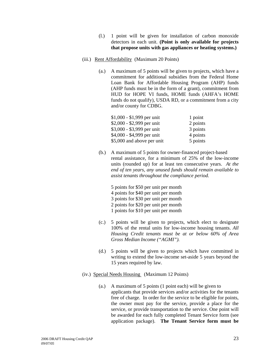- (l.) 1 point will be given for installation of carbon monoxide detectors in each unit. **(Point is only available for projects that propose units with gas appliances or heating systems.)**
- (iii.) Rent Affordability (Maximum 20 Points)
	- (a.) A maximum of 5 points will be given to projects, which have a commitment for additional subsidies from the Federal Home Loan Bank for Affordable Housing Program (AHP) funds (AHP funds must be in the form of a grant), commitment from HUD for HOPE VI funds, HOME funds (AHFA's HOME funds do not qualify), USDA RD, or a commitment from a city and/or county for CDBG.

| $$1,000 - $1,999$ per unit | 1 point  |
|----------------------------|----------|
| $$2,000 - $2,999$ per unit | 2 points |
| \$3,000 - \$3,999 per unit | 3 points |
| \$4,000 - \$4,999 per unit | 4 points |
| \$5,000 and above per unit | 5 points |

(b.) A maximum of 5 points for owner-financed project-based rental assistance, for a minimum of 25% of the low-income units (rounded up) for at least ten consecutive years. *At the end of ten years, any unused funds should remain available to assist tenants throughout the compliance period.*

 5 points for \$50 per unit per month 4 points for \$40 per unit per month 3 points for \$30 per unit per month 2 points for \$20 per unit per month

- 1 points for \$10 per unit per month
- (c.) 5 points will be given to projects, which elect to designate 100% of the rental units for low-income housing tenants. *All Housing Credit tenants must be at or below 60% of Area Gross Median Income ("AGMI").*
- (d.) 5 points will be given to projects which have committed in writing to extend the low-income set-aside 5 years beyond the 15 years required by law.
- (iv.) Special Needs Housing (Maximum 12 Points)
	- (a.) A maximum of 5 points (1 point each) will be given to applicants that provide services and/or activities for the tenants free of charge. In order for the service to be eligible for points, the owner must pay for the service, provide a place for the service, or provide transportation to the service. One point will be awarded for each fully completed Tenant Service form (see application package). **The Tenant Service form must be**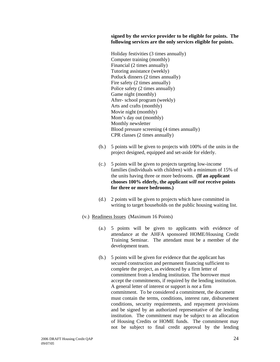**signed by the service provider to be eligible for points. The following services are the only services eligible for points.** 

 Holiday festivities (3 times annually) Computer training (monthly) Financial (2 times annually) Tutoring assistance (weekly) Potluck dinners (2 times annually) Fire safety (2 times annually) Police safety (2 times annually) Game night (monthly) After- school program (weekly) Arts and crafts (monthly) Movie night (monthly) Mom's day out (monthly) Monthly newsletter Blood pressure screening (4 times annually) CPR classes (2 times annually)

- (b.) 5 points will be given to projects with 100% of the units in the project designed, equipped and set-aside for elderly.
- (c.) 5 points will be given to projects targeting low-income families (individuals with children) with a minimum of 15% of the units having three or more bedrooms. **(If an applicant chooses 100% elderly, the applicant** *will not* **receive points for three or more bedrooms.)**
- (d.) 2 points will be given to projects which have committed in writing to target households on the public housing waiting list.
- (v.) Readiness Issues (Maximum 16 Points)
	- (a.) 5 points will be given to applicants with evidence of attendance at the AHFA sponsored HOME/Housing Credit Training Seminar. The attendant must be a member of the development team.
	- (b.) 5 points will be given for evidence that the applicant has secured construction and permanent financing sufficient to complete the project, as evidenced by a firm letter of commitment from a lending institution. The borrower must accept the commitments, if required by the lending institution. A general letter of interest or support is *not* a firm commitment. To be considered a commitment, the document must contain the terms, conditions, interest rate, disbursement conditions, security requirements, and repayment provisions and be signed by an authorized representative of the lending institution. The commitment may be subject to an allocation of Housing Credits or HOME funds. The commitment may not be subject to final credit approval by the lending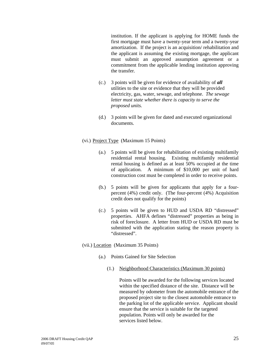institution. If the applicant is applying for HOME funds the first mortgage must have a twenty-year term and a twenty-year amortization. If the project is an acquisition/ rehabilitation and the applicant is assuming the existing mortgage, the applicant must submit an approved assumption agreement or a commitment from the applicable lending institution approving the transfer.

- (c.) 3 points will be given for evidence of availability of *all* utilities to the site or evidence that they will be provided electricity, gas, water, sewage, and telephone. *The sewage letter must state whether there is capacity to serve the proposed units.*
- (d.) 3 points will be given for dated and executed organizational documents.

#### (vi.) Project Type (Maximum 15 Points)

- (a.) 5 points will be given for rehabilitation of existing multifamily residential rental housing. Existing multifamily residential rental housing is defined as at least 50% occupied at the time of application. A minimum of \$10,000 per unit of hard construction cost must be completed in order to receive points.
- (b.) 5 points will be given for applicants that apply for a fourpercent (4%) credit only. (The four-percent (4%) Acquisition credit does not qualify for the points)
- (c.) 5 points will be given to HUD and USDA RD "distressed" properties. AHFA defines "distressed" properties as being in risk of foreclosure. A letter from HUD or USDA RD must be submitted with the application stating the reason property is "distressed".
- (vii.) Location (Maximum 35 Points)
	- (a.) Points Gained for Site Selection
		- (1.) Neighborhood Characteristics (Maximum 30 points)

 Points will be awarded for the following services located within the specified distance of the site. Distance will be measured by odometer from the automobile entrance of the proposed project site to the closest automobile entrance to the parking lot of the applicable service. Applicant should ensure that the service is suitable for the targeted population. Points will only be awarded for the services listed below.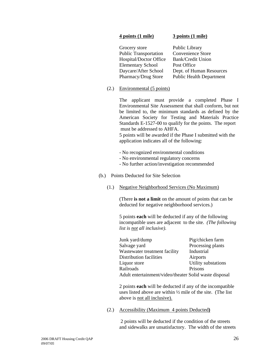#### **4 points (1 mile) 3 points (1 mile)**

| Grocery store                | Public Library                  |
|------------------------------|---------------------------------|
| <b>Public Transportation</b> | Convenience Store               |
| Hospital/Doctor Office       | <b>Bank/Credit Union</b>        |
| <b>Elementary School</b>     | Post Office                     |
| Daycare/After School         | Dept. of Human Resources        |
| Pharmacy/Drug Store          | <b>Public Health Department</b> |

(2.) Environmental (5 points)

 The applicant must provide a completed Phase I Environmental Site Assessment that shall conform, but not be limited to, the minimum standards as defined by the American Society for Testing and Materials Practice Standards E-1527-00 to qualify for the points. The report must be addressed to AHFA.

5 points will be awarded if the Phase I submitted with the application indicates all of the following:

- No recognized environmental conditions
- No environmental regulatory concerns
- No further action/investigation recommended
- (b.) Points Deducted for Site Selection
	- (1.) Negative Neighborhood Services (No Maximum)

(There **is not a limit** on the amount of points that can be deducted for negative neighborhood services.)

5 points **each** will be deducted if any of the following incompatible uses are adjacent to the site. *(The following list is not all inclusive).*

| Junk yard/dump                                         | Pig/chicken farm    |
|--------------------------------------------------------|---------------------|
| Salvage yard                                           | Processing plants   |
| Wastewater treatment facility                          | Industrial          |
| Distribution facilities                                | Airports            |
| Liquor store                                           | Utility substations |
| Railroads                                              | Prisons             |
| Adult entertainment/video/theater Solid waste disposal |                     |

2 points **each** will be deducted if any of the incompatible uses listed above are within ½ mile of the site. (The list above is not all inclusive).

(2.) Accessibility (Maximum 4 points Deducted**)**

 2 points will be deducted if the condition of the streets and sidewalks are unsatisfactory. The width of the streets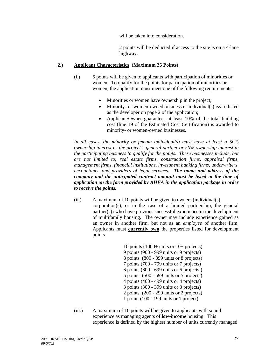will be taken into consideration.

 2 points will be deducted if access to the site is on a 4-lane highway.

#### **2.) Applicant Characteristics (Maximum 25 Points)**

- (i.) 5 points will be given to applicants with participation of minorities or women. To qualify for the points for participation of minorities or women, the application must meet one of the following requirements:
	- Minorities or women have ownership in the project;
	- Minority- or women-owned business or individual(s) is/are listed as the developer on page 2 of the application;
	- Applicant/Owner guarantees at least 10% of the total building cost (line 19 of the Estimated Cost Certification) is awarded to minority- or women-owned businesses.

 *In all cases, the minority or female individual(s) must have at least a 50% ownership interest as the project's general partner or 50% ownership interest in the participating business to qualify for the points. These businesses include, but are not limited to, real estate firms, construction firms, appraisal firms, management firms, financial institutions, investment banking firms, underwriters, accountants, and providers of legal services. The name and address of the company and the anticipated contract amount must be listed at the time of application on the form provided by AHFA in the application package in order to receive the points.*

(ii.) A maximum of 10 points will be given to owners (individual(s), corporation(s), or in the case of a limited partnership, the general partner(s)) who have previous successful experience in the development of multifamily housing. The owner may include experience gained as an owner in another firm, but not as an *employee* of another firm. Applicants must **currently own** the properties listed for development points.

> 10 points (1000+ units or 10+ projects) 9 points (900 - 999 units or 9 projects) 8 points (800 - 899 units or 8 projects) 7 points (700 - 799 units or 7 projects) 6 points (600 - 699 units or 6 projects ) 5 points (500 - 599 units or 5 projects) 4 points (400 - 499 units or 4 projects) 3 points (300 - 399 units or 3 projects) 2 points (200 - 299 units or 2 projects) 1 point (100 - 199 units or 1 project)

 (iii.) A maximum of 10 points will be given to applicants with sound experience as managing agents of **low-income** housing. This experience is defined by the highest number of units currently managed.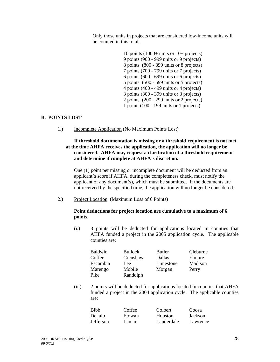Only those units in projects that are considered low-income units will be counted in this total.

> 10 points (1000+ units or 10+ projects) 9 points (900 - 999 units or 9 projects) 8 points (800 - 899 units or 8 projects) 7 points (700 - 799 units or 7 projects) 6 points (600 - 699 units or 6 projects) 5 points (500 - 599 units or 5 projects) 4 points (400 - 499 units or 4 projects) 3 points (300 - 399 units or 3 projects) 2 points (200 - 299 units or 2 projects) 1 point (100 - 199 units or 1 projects)

#### **B. POINTS LOST**

1.) Incomplete Application (No Maximum Points Lost)

#### **If threshold documentation is missing or a threshold requirement is not met at the time AHFA receives the application, the application will no longer be considered. AHFA may request a clarification of a threshold requirement and determine if complete at AHFA's discretion.**

One (1) point per missing or incomplete document will be deducted from an applicant's score if AHFA, during the completeness check, must notify the applicant of any document(s), which must be submitted. If the documents are not received by the specified time, the application will no longer be considered.

2.) Project Location (Maximum Loss of 6 Points)

#### **Point deductions for project location are cumulative to a maximum of 6 points.**

 (i.) 3 points will be deducted for applications located in counties that AHFA funded a project in the 2005 application cycle. The applicable counties are:

| <b>Baldwin</b> | <b>Bullock</b> | Butler    | Cleburne |
|----------------|----------------|-----------|----------|
| Coffee         | Crenshaw       | Dallas    | Elmore   |
| Escambia       | Lee            | Limestone | Madison  |
| Marengo        | Mobile         | Morgan    | Perry    |
| Pike           | Randolph       |           |          |

 (ii.) 2 points will be deducted for applications located in counties that AHFA funded a project in the 2004 application cycle. The applicable counties are:

| <b>Bibb</b>      | Coffee | Colbert    | Coosa    |
|------------------|--------|------------|----------|
| Dekalb           | Etowah | Houston    | Jackson  |
| <b>Jefferson</b> | Lamar  | Lauderdale | Lawrence |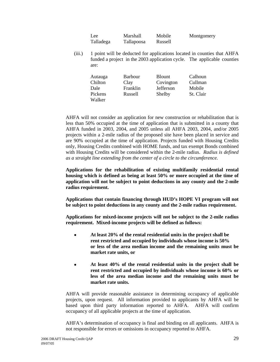| Lee       | Marshall   | Mobile  | Montgomery |
|-----------|------------|---------|------------|
| Talladega | Tallapoosa | Russell |            |

 (iii.) 1 point will be deducted for applications located in counties that AHFA funded a project in the 2003 application cycle. The applicable counties are:

| Covington | Calhoun                   |
|-----------|---------------------------|
| Jefferson | Cullman                   |
| Franklin  | Mobile                    |
| Shelby    | St. Clair                 |
|           | Barbour<br><b>B</b> lount |

AHFA will not consider an application for new construction or rehabilitation that is less than 50% occupied at the time of application that is submitted in a county that AHFA funded in 2003, 2004, and 2005 unless all AHFA 2003, 2004, and/or 2005 projects within a 2-mile radius of the proposed site have been placed in service and are 90% occupied at the time of application. Projects funded with Housing Credits only, Housing Credits combined with HOME funds, and tax exempt Bonds combined with Housing Credits will be considered within the 2-mile radius. *Radius is defined as a straight line extending from the center of a circle to the circumference.* 

**Applications for the rehabilitation of existing multifamily residential rental housing which is defined as being at least 50% or more occupied at the time of application will not be subject to point deductions in any county and the 2-mile radius requirement.** 

**Applications that contain financing through HUD's HOPE VI program will not be subject to point deductions in any county and the 2-mile radius requirement.** 

**Applications for mixed-income projects will not be subject to the 2-mile radius requirement. Mixed-income projects will be defined as follows:** 

- • **At least 20% of the rental residential units in the project shall be rent restricted and occupied by individuals whose income is 50% or less of the area median income and the remaining units must be market rate units, or**
- • **At least 40% of the rental residential units in the project shall be rent restricted and occupied by individuals whose income is 60% or less of the area median income and the remaining units must be market rate units.**

AHFA will provide reasonable assistance in determining occupancy of applicable projects, upon request. All information provided to applicants by AHFA will be based upon third party information reported to AHFA. AHFA will confirm occupancy of all applicable projects at the time of application.

AHFA's determination of occupancy is final and binding on all applicants. AHFA is not responsible for errors or omissions in occupancy reported to AHFA.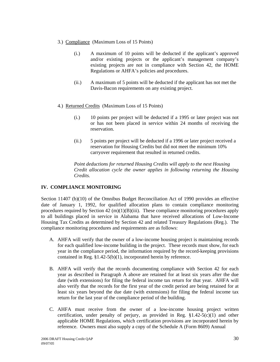- 3.) Compliance (Maximum Loss of 15 Points)
	- (i.) A maximum of 10 points will be deducted if the applicant's approved and/or existing projects or the applicant's management company's existing projects are not in compliance with Section 42, the HOME Regulations or AHFA's policies and procedures.
	- (ii.) A maximum of 5 points will be deducted if the applicant has not met the Davis-Bacon requirements on any existing project.
- 4.) Returned Credits (Maximum Loss of 15 Points)
	- (i.) 10 points per project will be deducted if a 1995 or later project was not or has not been placed in service within 24 months of receiving the reservation.
	- (ii.) 5 points per project will be deducted if a 1996 or later project received a reservation for Housing Credits but did not meet the minimum 10% carryover requirement that resulted in returned credits.

 *Point deductions for returned Housing Credits will apply to the next Housing Credit allocation cycle the owner applies in following returning the Housing Credits.* 

# **IV. COMPLIANCE MONITORING**

Section 11407 (b)(10) of the Omnibus Budget Reconciliation Act of 1990 provides an effective date of January 1, 1992, for qualified allocation plans to contain compliance monitoring procedures required by Section 42 (m)(1)(B)(iii). These compliance monitoring procedures apply to all buildings placed in service in Alabama that have received allocations of Low-Income Housing Tax Credits as determined by Section 42 and related Treasury Regulations (Reg.). The compliance monitoring procedures and requirements are as follows:

- A. AHFA will verify that the owner of a low-income housing project is maintaining records for each qualified low-income building in the project. These records must show, for each year in the compliance period, the information required by the record-keeping provisions contained in Reg. §1.42-5(b)(1), incorporated herein by reference.
- B. AHFA will verify that the records documenting compliance with Section 42 for each year as described in Paragraph A above are retained for at least six years after the due date (with extensions) for filing the federal income tax return for that year. AHFA will also verify that the records for the first year of the credit period are being retained for at least six years beyond the due date (with extensions) for filing the federal income tax return for the last year of the compliance period of the building.
- C. AHFA must receive from the owner of a low-income housing project written certification, under penalty of perjury, as provided in Reg.  $§1.42-5(c)(1)$  and other applicable HOME Regulations, which certification provisions are incorporated herein by reference. Owners must also supply a copy of the Schedule A (Form 8609) Annual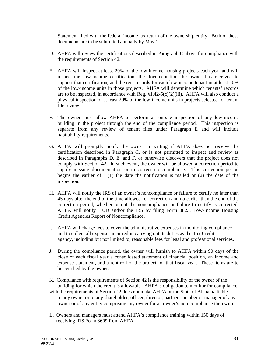Statement filed with the federal income tax return of the ownership entity. Both of these documents are to be submitted annually by May 1.

- D. AHFA will review the certifications described in Paragraph C above for compliance with the requirements of Section 42.
- E. AHFA will inspect at least 20% of the low-income housing projects each year and will inspect the low-income certification, the documentation the owner has received to support that certification, and the rent records for each low-income tenant in at least 40% of the low-income units in those projects. AHFA will determine which tenants' records are to be inspected, in accordance with Reg.  $$1.42-5(c)(2)(iii)$ . AHFA will also conduct a physical inspection of at least 20% of the low-income units in projects selected for tenant file review.
- F. The owner must allow AHFA to perform an on-site inspection of any low-income building in the project through the end of the compliance period. This inspection is separate from any review of tenant files under Paragraph E and will include habitability requirements.
- G. AHFA will promptly notify the owner in writing if AHFA does not receive the certification described in Paragraph C, or is not permitted to inspect and review as described in Paragraphs D, E, and F, or otherwise discovers that the project does not comply with Section 42. In such event, the owner will be allowed a correction period to supply missing documentation or to correct noncompliance. This correction period begins the earlier of: (1) the date the notification is mailed or (2) the date of the inspection.
- H. AHFA will notify the IRS of an owner's noncompliance or failure to certify no later than 45 days after the end of the time allowed for correction and no earlier than the end of the correction period, whether or not the noncompliance or failure to certify is corrected. AHFA will notify HUD and/or the IRS by filing Form 8823, Low-Income Housing Credit Agencies Report of Noncompliance.
- I. AHFA will charge fees to cover the administrative expenses in monitoring compliance and to collect all expenses incurred in carrying out its duties as the Tax Credit agency, including but not limited to, reasonable fees for legal and professional services.
- J. During the compliance period, the owner will furnish to AHFA within 90 days of the close of each fiscal year a consolidated statement of financial position, an income and expense statement, and a rent roll of the project for that fiscal year. These items are to be certified by the owner.
- K. Compliance with requirements of Section 42 is the responsibility of the owner of the building for which the credit is allowable. AHFA's obligation to monitor for compliance with the requirements of Section 42 does not make AHFA or the State of Alabama liable to any owner or to any shareholder, officer, director, partner, member or manager of any owner or of any entity comprising any owner for an owner's non-compliance therewith.
- L. Owners and managers must attend AHFA's compliance training within 150 days of receiving IRS Form 8609 from AHFA.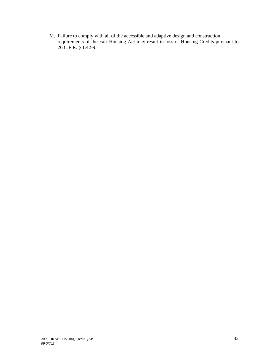M. Failure to comply with all of the accessible and adaptive design and construction requirements of the Fair Housing Act may result in loss of Housing Credits pursuant to 26 C.F.R. § 1.42-9.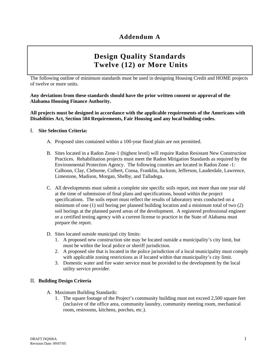# **Design Quality Standards Twelve (12) or More Units**

The following outline of minimum standards must be used in designing Housing Credit and HOME projects of twelve or more units.

**Any deviations from these standards should have the prior written consent or approval of the Alabama Housing Finance Authority.** 

**All projects must be designed in accordance with the applicable requirements of the Americans with Disabilities Act, Section 504 Requirements, Fair Housing and any local building codes.** 

#### I. **Site Selection Criteria:**

- A. Proposed sites contained within a 100-year flood plain are not permitted.
- B. Sites located in a Radon Zone-1 (highest level) will require Radon Resistant New Construction Practices. Rehabilitation projects must meet the Radon Mitigation Standards as required by the Environmental Protection Agency. The following counties are located in Radon Zone -1: Calhoun, Clay, Cleburne, Colbert, Coosa, Franklin, Jackson, Jefferson, Lauderdale, Lawrence, Limestone, Madison, Morgan, Shelby, and Talladega.
- C. All developments must submit a complete site specific soils report, not more than one year old at the time of submission of final plans and specifications, bound within the project specifications. The soils report must reflect the results of laboratory tests conducted on a minimum of one (1) soil boring per planned building location and a minimum total of two (2) soil borings at the planned paved areas of the development. A registered professional engineer or a certified testing agency with a current license to practice in the State of Alabama must prepare the report.
- D. Sites located outside municipal city limits:
	- 1. A proposed new construction site may be located outside a municipality's city limit, but must be within the local police or sheriff jurisdiction.
	- 2. A proposed site that is located in the police jurisdiction of a local municipality must comply with applicable zoning restrictions as if located within that municipality's city limit.
	- 3. Domestic water and fire water service must be provided to the development by the local utility service provider.

#### II. **Building Design Criteria**

- A. Maximum Building Standards:
	- 1. The square footage of the Project's community building must not exceed 2,500 square feet (inclusive of the office area, community laundry, community meeting room, mechanical room, restrooms, kitchens, porches, etc.).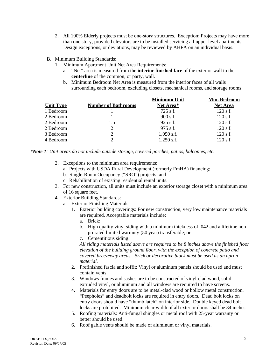- 2. All 100% Elderly projects must be one-story structures. Exception: Projects may have more than one story, provided elevators are to be installed servicing all upper level apartments. Design exceptions, or deviations, may be reviewed by AHFA on an individual basis.
- B. Minimum Building Standards:
	- 1. Minimum Apartment Unit Net Area Requirements:
		- a. "Net" area is measured from the **interior finished face** of the exterior wall to the **centerline** of the common, or party, wall.
		- b. Minimum Bedroom Net Area is measured from the interior faces of all walls surrounding each bedroom, excluding closets, mechanical rooms, and storage rooms.

**Minimum Unit**

**Min. Bedroom**

|                  |                            | <b>NIMINIQUII UMI</b> | <b>NIIII. Deurooiii</b> |
|------------------|----------------------------|-----------------------|-------------------------|
| <b>Unit Type</b> | <b>Number of Bathrooms</b> | Net Area*             | <b>Net Area</b>         |
| 1 Bedroom        |                            | 725 s.f.              | $120$ s.f.              |
| 2 Bedroom        |                            | $900$ s.f.            | $120$ s.f.              |
| 2 Bedroom        | 1.5                        | $925$ s.f.            | $120$ s.f.              |
| 2 Bedroom        | 2                          | 975 s.f.              | $120$ s.f.              |
| 3 Bedroom        | 2                          | $1,050$ s.f.          | $120$ s.f.              |
| 4 Bedroom        | $\mathcal{D}$              | $1,250$ s.f.          | $120$ s.f.              |

*\*Note 1: Unit areas do not include outside storage, covered porches, patios, balconies, etc.* 

- 2. Exceptions to the minimum area requirements:
	- a. Projects with USDA Rural Development (formerly FmHA) financing;
	- b. Single-Room Occupancy ("SRO") projects; and
	- c. Rehabilitation of existing residential rental units.
- 3. For new construction, all units must include an exterior storage closet with a minimum area of 16 square feet.
- 4. Exterior Building Standards:
	- a. Exterior Finishing Materials:
		- 1. Exterior building coverings: For new construction, very low maintenance materials are required. Acceptable materials include:
			- a. Brick;
			- b. High quality vinyl siding with a minimum thickness of .042 and a lifetime nonprorated limited warranty (50 year) transferable; or
			- c. Cementitious siding.

*All siding materials listed above are required to be 8 inches above the finished floor elevation of the building ground floor, with the exception of concrete patio and covered breezeway areas. Brick or decorative block must be used as an apron material.* 

- 2. Prefinished fascia and soffit: Vinyl or aluminum panels should be used and must contain vents.
- 3. Windows frames and sashes are to be constructed of vinyl-clad wood, solid extruded vinyl, or aluminum and all windows are required to have screens.
- 4. Materials for entry doors are to be metal-clad wood or hollow metal construction. "Peepholes" and deadbolt locks are required in entry doors. Dead bolt locks on entry doors should have "thumb latch" on interior side. Double keyed dead bolt locks are prohibited. Minimum clear width of all exterior doors shall be 34 inches.
- 5. Roofing materials: Anti-fungal shingles or metal roof with 25-year warranty or better should be used.
- 6. Roof gable vents should be made of aluminum or vinyl materials.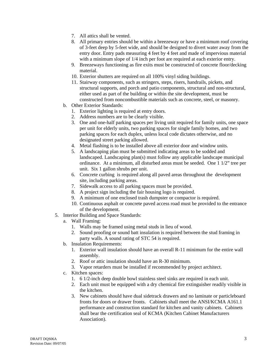- 7. All attics shall be vented.
- 8. All primary entries should be within a breezeway or have a minimum roof covering of 3-feet deep by 5-feet wide, and should be designed to divert water away from the entry door. Entry pads measuring 4 feet by 4 feet and made of impervious material with a minimum slope of  $1/4$  inch per foot are required at each exterior entry.
- 9. Breezeways functioning as fire exits must be constructed of concrete floor/decking material.
- 10. Exterior shutters are required on all 100% vinyl siding buildings.
- 11. Stairway components, such as stringers, steps, risers, handrails, pickets, and structural supports, and porch and patio components, structural and non-structural, either used as part of the building or within the site development, must be constructed from noncombustible materials such as concrete, steel, or masonry.
- b. Other Exterior Standards:
	- 1. Exterior lighting is required at entry doors.
	- 2. Address numbers are to be clearly visible.
	- 3. One and one-half parking spaces per living unit required for family units, one space per unit for elderly units, two parking spaces for single family homes, and two parking spaces for each duplex, unless local code dictates otherwise, and no designated street parking allowed.
	- 4. Metal flashing is to be installed above all exterior door and window units.
	- 5. A landscaping plan must be submitted indicating areas to be sodded and landscaped. Landscaping plan(s) must follow any applicable landscape municipal ordinance. At a minimum, all disturbed areas must be seeded. One 1 1/2" tree per unit. Six 1 gallon shrubs per unit.
	- 6. Concrete curbing is required along all paved areas throughout the development site, including parking areas.
	- 7. Sidewalk access to all parking spaces must be provided.
	- 8. A project sign including the fair housing logo is required.
	- 9. A minimum of one enclosed trash dumpster or compactor is required.
	- 10. Continuous asphalt or concrete paved access road must be provided to the entrance of the development.
- 5. Interior Building and Space Standards:
	- a. Wall Framing:
		- 1. Walls may be framed using metal studs in lieu of wood.
		- 2. Sound proofing or sound batt insulation is required between the stud framing in party walls. A sound rating of STC 54 is required.
	- b. Insulation Requirements:
		- 1. Exterior wall insulation should have an overall R-11 minimum for the entire wall assembly.
		- 2. Roof or attic insulation should have an R-30 minimum.
		- 3. Vapor retarders must be installed if recommended by project architect.
	- c. Kitchen spaces:
		- 1. 6 1/2-inch deep double bowl stainless steel sinks are required in each unit.
		- 2. Each unit must be equipped with a dry chemical fire extinguisher readily visible in the kitchen.
		- 3. New cabinets should have dual sidetrack drawers and no laminate or particleboard fronts for doors or drawer fronts. Cabinets shall meet the ANSI/KCMA A161.1 performance and construction standard for kitchen and vanity cabinets. Cabinets shall bear the certification seal of KCMA (Kitchen Cabinet Manufacturers Association).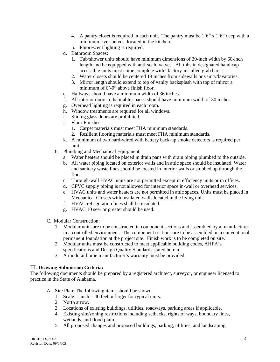- 4. A pantry closet is required in each unit. The pantry must be  $1'6'' \times 1'6''$  deep with a minimum five shelves, located in the kitchen.
- 5. Fluorescent lighting is required.
- d. Bathroom Spaces:
	- 1. Tub/shower units should have minimum dimensions of 30-inch width by 60-inch length and be equipped with anti-scald valves. All tubs in designated handicap accessible units must come complete with "factory-installed grab bars".
	- 2. Water closets should be centered 18 inches from sidewalls or vanity/lavatories.
	- 3. Mirror length should extend to top of vanity backsplash with top of mirror a minimum of 6'-0" above finish floor.
- e. Hallways should have a minimum width of 36 inches.
- f. All interior doors to habitable spaces should have minimum width of 30 inches.
- g. Overhead lighting is required in each room.
- h. Window treatments are required for all windows.
- i. Sliding glass doors are prohibited.
- j. Floor Finishes:
	- 1. Carpet materials must meet FHA minimum standards.
	- 2. Resilient flooring materials must meet FHA minimum standards.
- k. A minimum of two hard-wired with battery back-up smoke detectors is required per unit.
- 6. Plumbing and Mechanical Equipment:
	- a. Water heaters should be placed in drain pans with drain piping plumbed to the outside.
	- b. All water piping located on exterior walls and in attic space should be insulated. Water and sanitary waste lines should be located in interior walls or stubbed up through the floor.
	- c. Through-wall HVAC units are not permitted except in efficiency units or in offices.
	- d. CPVC supply piping is not allowed for interior space in-wall or overhead services.
	- e. HVAC units and water heaters are not permitted in attic spaces. Units must be placed in Mechanical Closets with insulated walls located in the living unit.
	- f. HVAC refrigeration lines shall be insulated.
	- g. HVAC 10 seer or greater should be used.
- C. Modular Construction:
	- 1. Modular units are to be constructed in component sections and assembled by a manufacturer in a controlled environment. The component sections are to be assembled on a conventional permanent foundation at the project site. Finish work is to be completed on site.
	- 2. Modular units must be constructed to meet applicable building codes, AHFA's specifications and Design Quality Standards stated herein.
	- 3. A modular home manufacturer's warranty must be provided.

#### III. **Drawing Submission Criteria:**

The following documents should be prepared by a registered architect, surveyor, or engineer licensed to practice in the State of Alabama.

- A. Site Plan: The following items should be shown.
	- 1. Scale: 1 inch = 40 feet or larger for typical units.
	- 2. North arrow.
	- 3. Locations of existing buildings, utilities, roadways, parking areas if applicable.
	- 4. Existing site/zoning restrictions including setbacks, rights of ways, boundary lines, wetlands, and flood plain.
	- 5. All proposed changes and proposed buildings, parking, utilities, and landscaping.